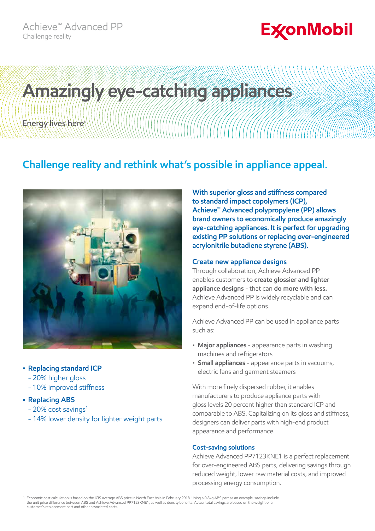## **ExconMobil**

# **Amazingly eye-catching appliances**Energy lives here

### **Challenge reality and rethink what's possible in appliance appeal.**



#### **• Replacing standard ICP**

- 20% higher gloss
- 10% improved stiffness

#### **• Replacing ABS**

- $-20\%$  cost savings<sup>1</sup>
- 14% lower density for lighter weight parts

**With superior gloss and stiffness compared to standard impact copolymers (ICP), Achieve™ Advanced polypropylene (PP) allows brand owners to economically produce amazingly eye-catching appliances. It is perfect for upgrading existing PP solutions or replacing over-engineered acrylonitrile butadiene styrene (ABS).**

#### **Create new appliance designs**

Through collaboration, Achieve Advanced PP enables customers to **create glossier and lighter appliance designs** - that can **do more with less.**  Achieve Advanced PP is widely recyclable and can expand end-of-life options.

Achieve Advanced PP can be used in appliance parts such as:

- **Major appliances** appearance parts in washing machines and refrigerators
- **Small appliances** appearance parts in vacuums, electric fans and garment steamers

With more finely dispersed rubber, it enables manufacturers to produce appliance parts with gloss levels 20 percent higher than standard ICP and comparable to ABS. Capitalizing on its gloss and stiffness, designers can deliver parts with high-end product appearance and performance.

#### **Cost-saving solutions**

Achieve Advanced PP7123KNE1 is a perfect replacement for over-engineered ABS parts, delivering savings through reduced weight, lower raw material costs, and improved processing energy consumption.

1. Economic cost calculation is based on the ICIS average ABS price in North East Asia in February 2018. Using a 0.8kg ABS part as an example, savings include<br>the unit price difference between ABS and Achieve Advanced PP71 customer's replacement part and other associated costs.